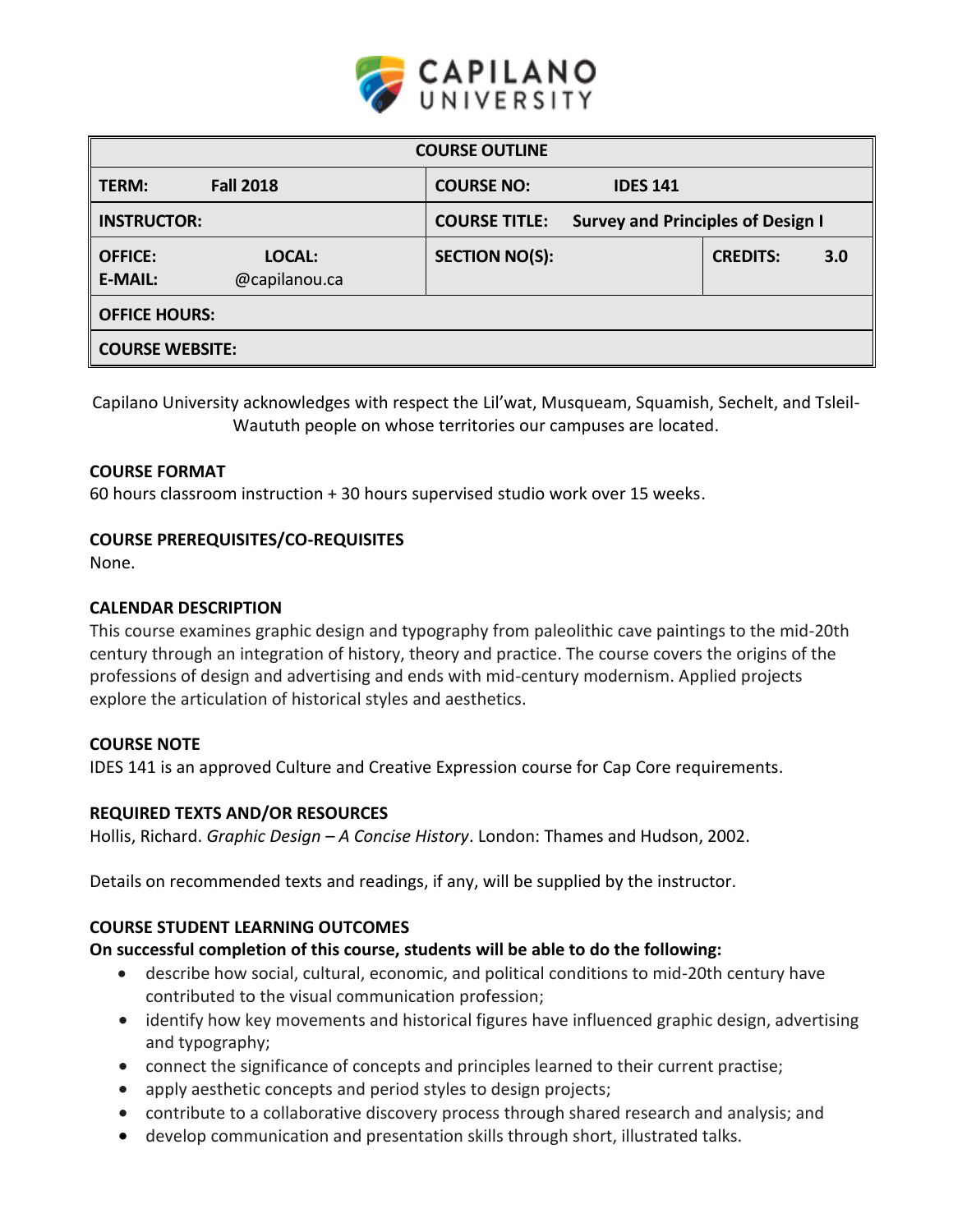

| <b>COURSE OUTLINE</b>                                                                  |                                      |                 |     |  |
|----------------------------------------------------------------------------------------|--------------------------------------|-----------------|-----|--|
| <b>Fall 2018</b><br>TERM:                                                              | <b>COURSE NO:</b><br><b>IDES 141</b> |                 |     |  |
| <b>INSTRUCTOR:</b><br><b>Survey and Principles of Design I</b><br><b>COURSE TITLE:</b> |                                      |                 |     |  |
| <b>OFFICE:</b><br>LOCAL:<br><b>E-MAIL:</b><br>@capilanou.ca                            | <b>SECTION NO(S):</b>                | <b>CREDITS:</b> | 3.0 |  |
| <b>OFFICE HOURS:</b>                                                                   |                                      |                 |     |  |
| <b>COURSE WEBSITE:</b>                                                                 |                                      |                 |     |  |

Capilano University acknowledges with respect the Lil'wat, Musqueam, Squamish, Sechelt, and Tsleil-Waututh people on whose territories our campuses are located.

## **COURSE FORMAT**

60 hours classroom instruction + 30 hours supervised studio work over 15 weeks.

### **COURSE PREREQUISITES/CO-REQUISITES**

None.

### **CALENDAR DESCRIPTION**

This course examines graphic design and typography from paleolithic cave paintings to the mid-20th century through an integration of history, theory and practice. The course covers the origins of the professions of design and advertising and ends with mid-century modernism. Applied projects explore the articulation of historical styles and aesthetics.

### **COURSE NOTE**

IDES 141 is an approved Culture and Creative Expression course for Cap Core requirements.

### **REQUIRED TEXTS AND/OR RESOURCES**

Hollis, Richard. *Graphic Design – A Concise History*. London: Thames and Hudson, 2002.

Details on recommended texts and readings, if any, will be supplied by the instructor.

## **COURSE STUDENT LEARNING OUTCOMES**

### **On successful completion of this course, students will be able to do the following:**

- describe how social, cultural, economic, and political conditions to mid-20th century have contributed to the visual communication profession;
- identify how key movements and historical figures have influenced graphic design, advertising and typography;
- connect the significance of concepts and principles learned to their current practise;
- apply aesthetic concepts and period styles to design projects;
- contribute to a collaborative discovery process through shared research and analysis; and
- develop communication and presentation skills through short, illustrated talks.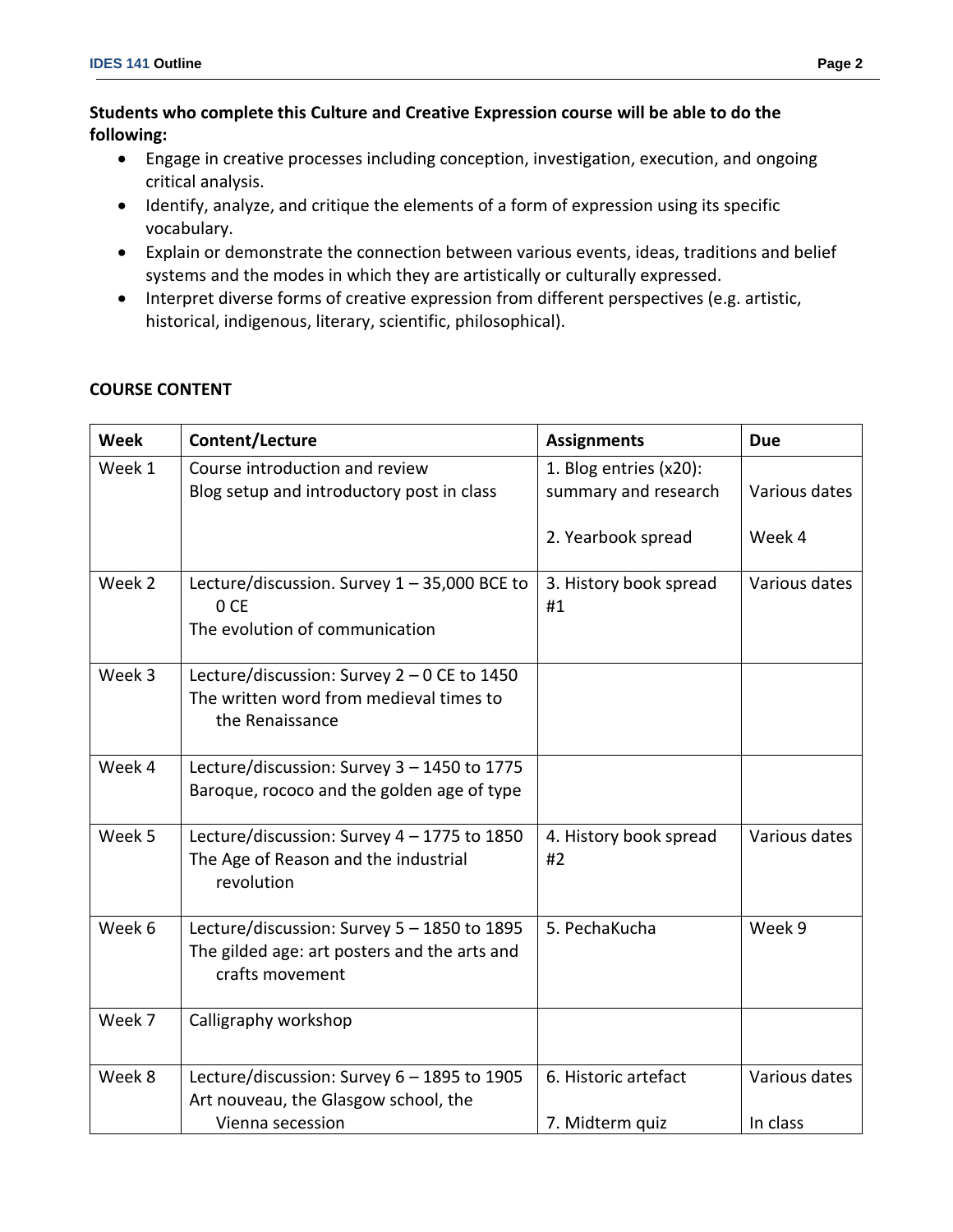## **Students who complete this Culture and Creative Expression course will be able to do the following:**

- Engage in creative processes including conception, investigation, execution, and ongoing critical analysis.
- Identify, analyze, and critique the elements of a form of expression using its specific vocabulary.
- Explain or demonstrate the connection between various events, ideas, traditions and belief systems and the modes in which they are artistically or culturally expressed.
- Interpret diverse forms of creative expression from different perspectives (e.g. artistic, historical, indigenous, literary, scientific, philosophical).

| <b>Week</b> | Content/Lecture                                                                                                | <b>Assignments</b>                             | <b>Due</b>    |
|-------------|----------------------------------------------------------------------------------------------------------------|------------------------------------------------|---------------|
| Week 1      | Course introduction and review<br>Blog setup and introductory post in class                                    | 1. Blog entries (x20):<br>summary and research | Various dates |
|             |                                                                                                                | 2. Yearbook spread                             | Week 4        |
| Week 2      | Lecture/discussion. Survey 1 - 35,000 BCE to<br>0 CE<br>The evolution of communication                         | 3. History book spread<br>#1                   | Various dates |
| Week 3      | Lecture/discussion: Survey 2 - 0 CE to 1450<br>The written word from medieval times to<br>the Renaissance      |                                                |               |
| Week 4      | Lecture/discussion: Survey 3 - 1450 to 1775<br>Baroque, rococo and the golden age of type                      |                                                |               |
| Week 5      | Lecture/discussion: Survey 4 - 1775 to 1850<br>The Age of Reason and the industrial<br>revolution              | 4. History book spread<br>#2                   | Various dates |
| Week 6      | Lecture/discussion: Survey 5 - 1850 to 1895<br>The gilded age: art posters and the arts and<br>crafts movement | 5. PechaKucha                                  | Week 9        |
| Week 7      | Calligraphy workshop                                                                                           |                                                |               |
| Week 8      | Lecture/discussion: Survey 6 - 1895 to 1905<br>Art nouveau, the Glasgow school, the                            | 6. Historic artefact                           | Various dates |

7. Midterm quiz

In class

Vienna secession

# **COURSE CONTENT**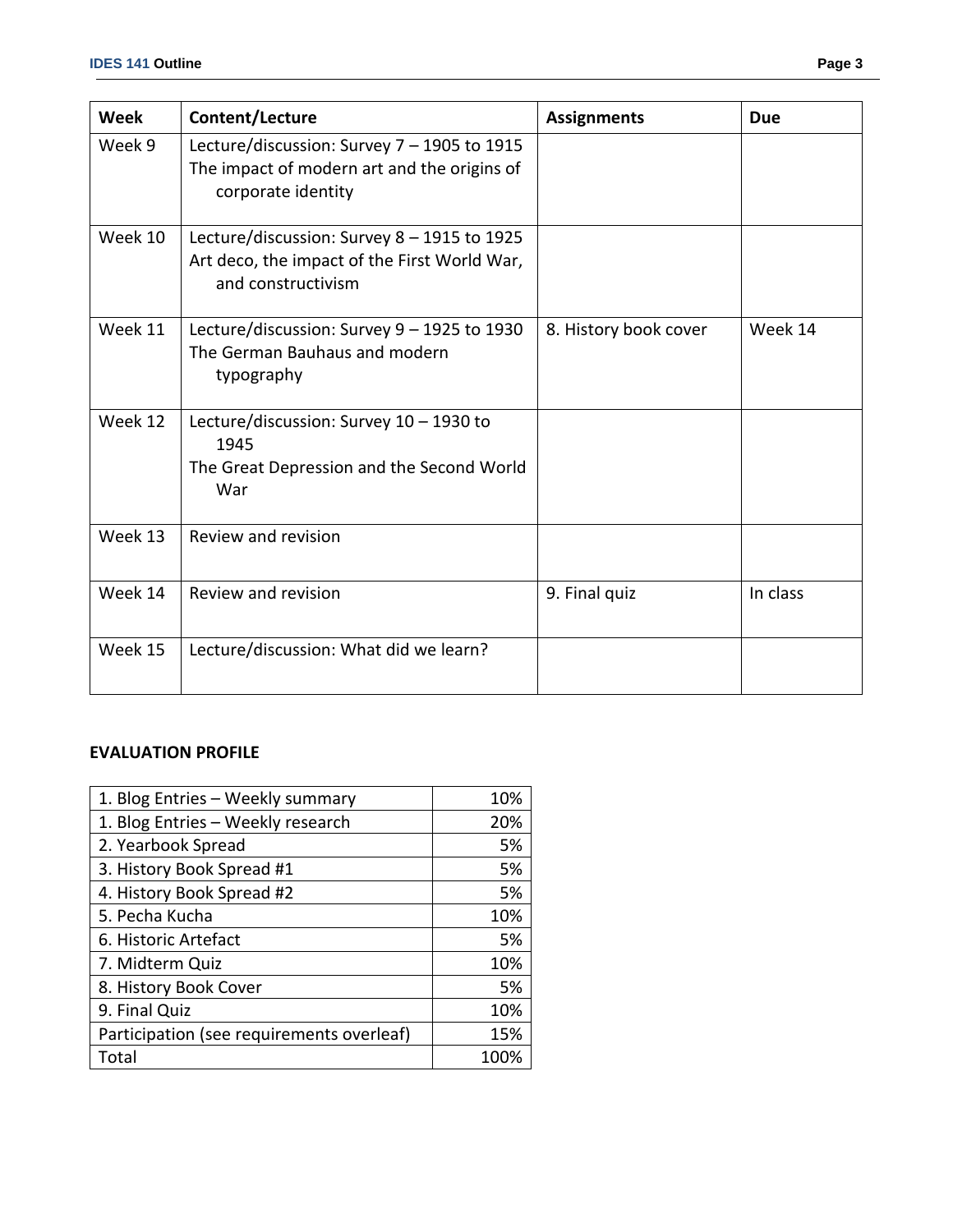| Week    | Content/Lecture                                                                                                   | <b>Assignments</b>    | <b>Due</b> |
|---------|-------------------------------------------------------------------------------------------------------------------|-----------------------|------------|
| Week 9  | Lecture/discussion: Survey 7 - 1905 to 1915<br>The impact of modern art and the origins of<br>corporate identity  |                       |            |
| Week 10 | Lecture/discussion: Survey 8 - 1915 to 1925<br>Art deco, the impact of the First World War,<br>and constructivism |                       |            |
| Week 11 | Lecture/discussion: Survey 9 - 1925 to 1930<br>The German Bauhaus and modern<br>typography                        | 8. History book cover | Week 14    |
| Week 12 | Lecture/discussion: Survey 10 - 1930 to<br>1945<br>The Great Depression and the Second World<br>War               |                       |            |
| Week 13 | Review and revision                                                                                               |                       |            |
| Week 14 | Review and revision                                                                                               | 9. Final quiz         | In class   |
| Week 15 | Lecture/discussion: What did we learn?                                                                            |                       |            |

### **EVALUATION PROFILE**

| 1. Blog Entries - Weekly summary          | 10%  |
|-------------------------------------------|------|
| 1. Blog Entries - Weekly research         | 20%  |
| 2. Yearbook Spread                        | 5%   |
| 3. History Book Spread #1                 | 5%   |
| 4. History Book Spread #2                 | 5%   |
| 5. Pecha Kucha                            | 10%  |
| 6. Historic Artefact                      | 5%   |
| 7. Midterm Quiz                           | 10%  |
| 8. History Book Cover                     | 5%   |
| 9. Final Quiz                             | 10%  |
| Participation (see requirements overleaf) | 15%  |
| Total                                     | 100% |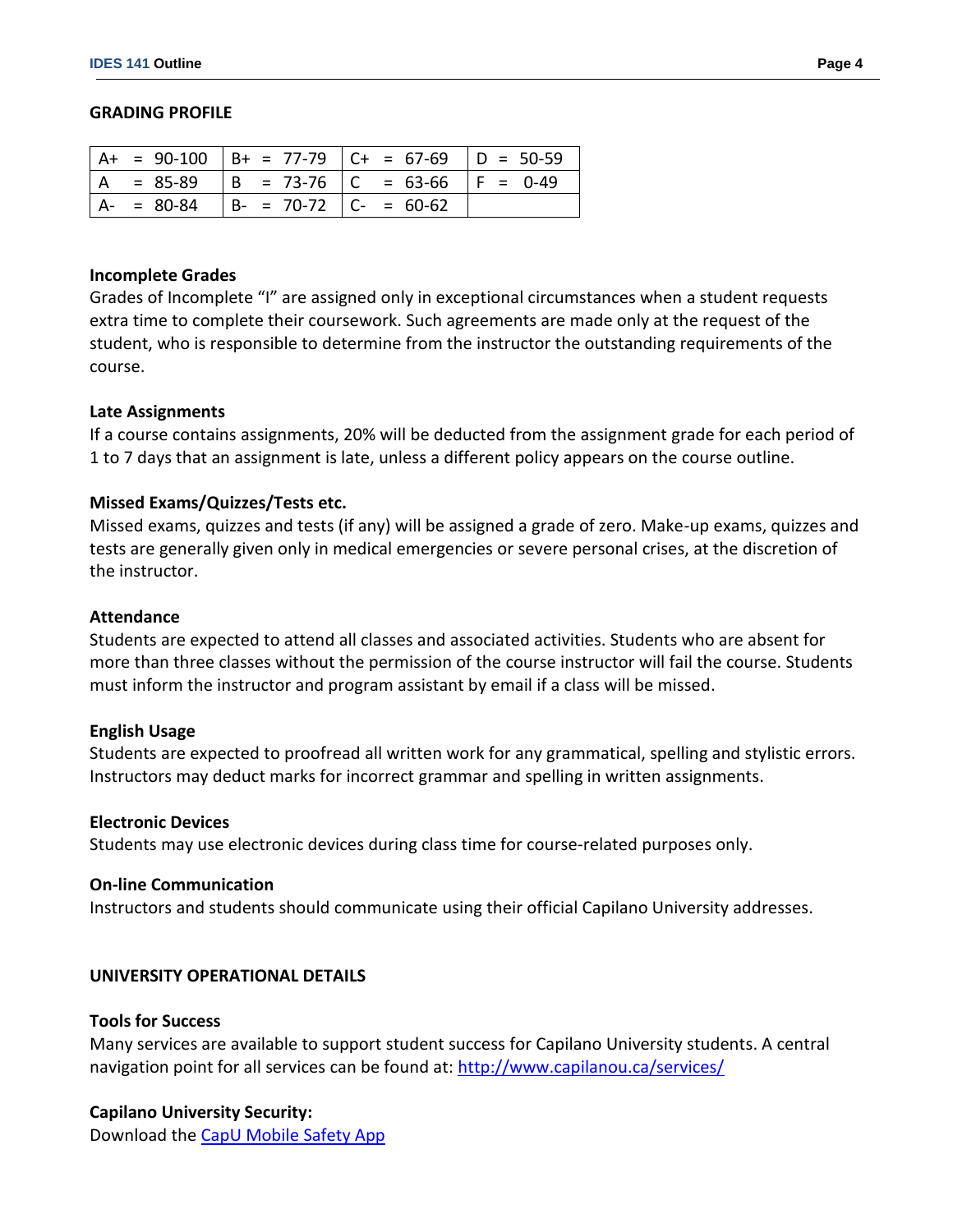#### **GRADING PROFILE**

|                |                                           | $  A + = 90-100   B + = 77-79   C + = 67-69   D = 50-59$ |  |
|----------------|-------------------------------------------|----------------------------------------------------------|--|
| $\overline{A}$ |                                           | $= 85-89$  B = 73-76  C = 63-66  F = 0-49                |  |
|                | $ A- = 80-84$ $ B- = 70-72$ $ C- = 60-62$ |                                                          |  |

#### **Incomplete Grades**

Grades of Incomplete "I" are assigned only in exceptional circumstances when a student requests extra time to complete their coursework. Such agreements are made only at the request of the student, who is responsible to determine from the instructor the outstanding requirements of the course.

#### **Late Assignments**

If a course contains assignments, 20% will be deducted from the assignment grade for each period of 1 to 7 days that an assignment is late, unless a different policy appears on the course outline.

### **Missed Exams/Quizzes/Tests etc.**

Missed exams, quizzes and tests (if any) will be assigned a grade of zero. Make-up exams, quizzes and tests are generally given only in medical emergencies or severe personal crises, at the discretion of the instructor.

#### **Attendance**

Students are expected to attend all classes and associated activities. Students who are absent for more than three classes without the permission of the course instructor will fail the course. Students must inform the instructor and program assistant by email if a class will be missed.

### **English Usage**

Students are expected to proofread all written work for any grammatical, spelling and stylistic errors. Instructors may deduct marks for incorrect grammar and spelling in written assignments.

#### **Electronic Devices**

Students may use electronic devices during class time for course-related purposes only.

### **On-line Communication**

Instructors and students should communicate using their official Capilano University addresses.

### **UNIVERSITY OPERATIONAL DETAILS**

#### **Tools for Success**

Many services are available to support student success for Capilano University students. A central navigation point for all services can be found at:<http://www.capilanou.ca/services/>

### **Capilano University Security:**

Download the [CapU Mobile Safety App](https://www.capilanou.ca/services/safety-security/CapU-Mobile-Safety-App/)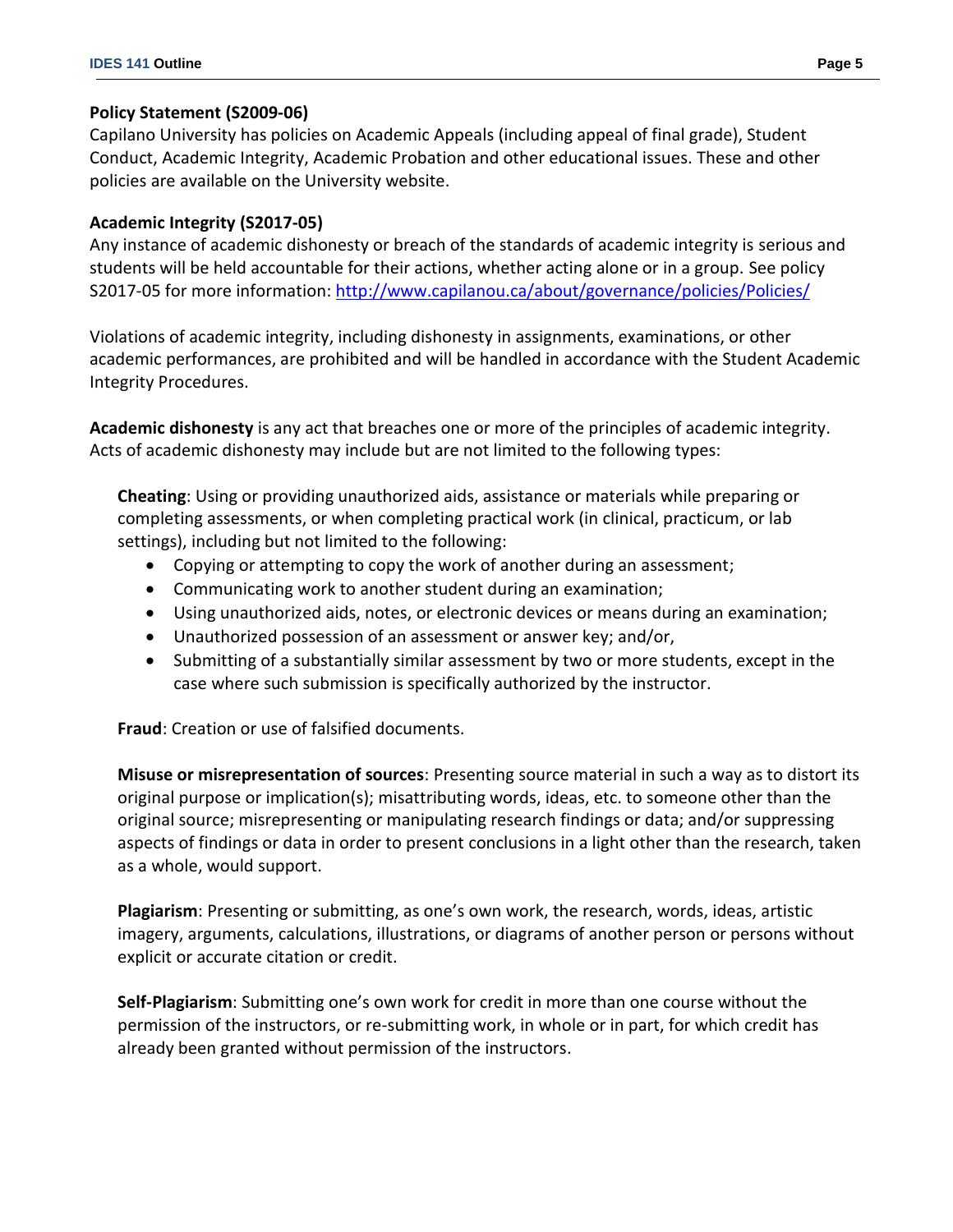# **Policy Statement (S2009-06)**

Capilano University has policies on Academic Appeals (including appeal of final grade), Student Conduct, Academic Integrity, Academic Probation and other educational issues. These and other policies are available on the University website.

# **Academic Integrity (S2017-05)**

Any instance of academic dishonesty or breach of the standards of academic integrity is serious and students will be held accountable for their actions, whether acting alone or in a group. See policy S2017-05 for more information: <http://www.capilanou.ca/about/governance/policies/Policies/>

Violations of academic integrity, including dishonesty in assignments, examinations, or other academic performances, are prohibited and will be handled in accordance with the Student Academic Integrity Procedures.

**Academic dishonesty** is any act that breaches one or more of the principles of academic integrity. Acts of academic dishonesty may include but are not limited to the following types:

**Cheating**: Using or providing unauthorized aids, assistance or materials while preparing or completing assessments, or when completing practical work (in clinical, practicum, or lab settings), including but not limited to the following:

- Copying or attempting to copy the work of another during an assessment;
- Communicating work to another student during an examination;
- Using unauthorized aids, notes, or electronic devices or means during an examination;
- Unauthorized possession of an assessment or answer key; and/or,
- Submitting of a substantially similar assessment by two or more students, except in the case where such submission is specifically authorized by the instructor.

**Fraud**: Creation or use of falsified documents.

**Misuse or misrepresentation of sources**: Presenting source material in such a way as to distort its original purpose or implication(s); misattributing words, ideas, etc. to someone other than the original source; misrepresenting or manipulating research findings or data; and/or suppressing aspects of findings or data in order to present conclusions in a light other than the research, taken as a whole, would support.

**Plagiarism**: Presenting or submitting, as one's own work, the research, words, ideas, artistic imagery, arguments, calculations, illustrations, or diagrams of another person or persons without explicit or accurate citation or credit.

**Self-Plagiarism**: Submitting one's own work for credit in more than one course without the permission of the instructors, or re-submitting work, in whole or in part, for which credit has already been granted without permission of the instructors.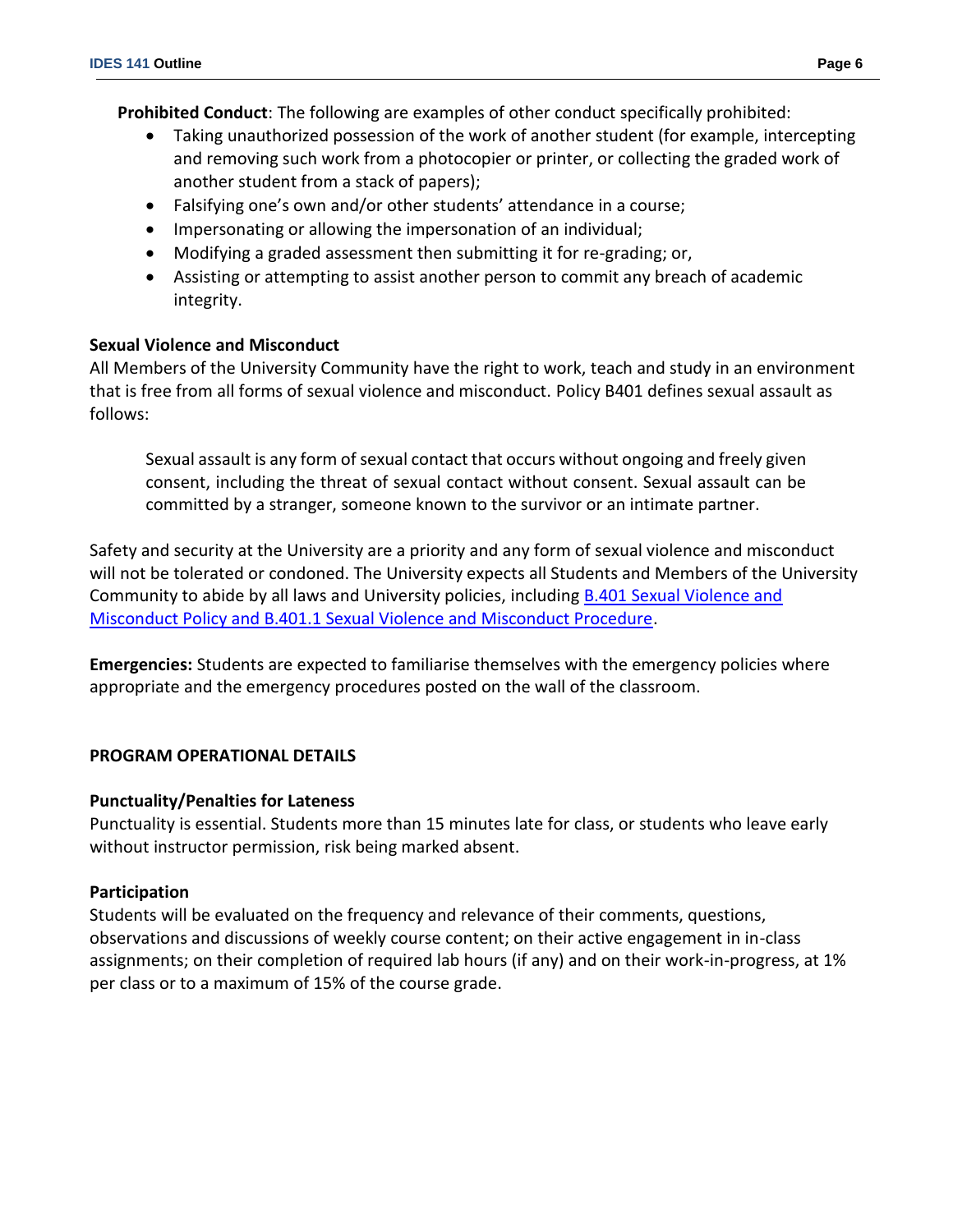**Prohibited Conduct**: The following are examples of other conduct specifically prohibited:

- Taking unauthorized possession of the work of another student (for example, intercepting and removing such work from a photocopier or printer, or collecting the graded work of another student from a stack of papers);
- Falsifying one's own and/or other students' attendance in a course;
- Impersonating or allowing the impersonation of an individual;
- Modifying a graded assessment then submitting it for re-grading; or,
- Assisting or attempting to assist another person to commit any breach of academic integrity.

### **Sexual Violence and Misconduct**

All Members of the University Community have the right to work, teach and study in an environment that is free from all forms of sexual violence and misconduct. Policy B401 defines sexual assault as follows:

Sexual assault is any form of sexual contact that occurs without ongoing and freely given consent, including the threat of sexual contact without consent. Sexual assault can be committed by a stranger, someone known to the survivor or an intimate partner.

Safety and security at the University are a priority and any form of sexual violence and misconduct will not be tolerated or condoned. The University expects all Students and Members of the University Community to abide by all laws and University policies, including **B.401 Sexual Violence and** [Misconduct Policy and B.401.1 Sexual Violence and Misconduct Procedure.](https://www.capilanou.ca/SVM/)

**Emergencies:** Students are expected to familiarise themselves with the emergency policies where appropriate and the emergency procedures posted on the wall of the classroom.

## **PROGRAM OPERATIONAL DETAILS**

### **Punctuality/Penalties for Lateness**

Punctuality is essential. Students more than 15 minutes late for class, or students who leave early without instructor permission, risk being marked absent.

### **Participation**

Students will be evaluated on the frequency and relevance of their comments, questions, observations and discussions of weekly course content; on their active engagement in in-class assignments; on their completion of required lab hours (if any) and on their work-in-progress, at 1% per class or to a maximum of 15% of the course grade.